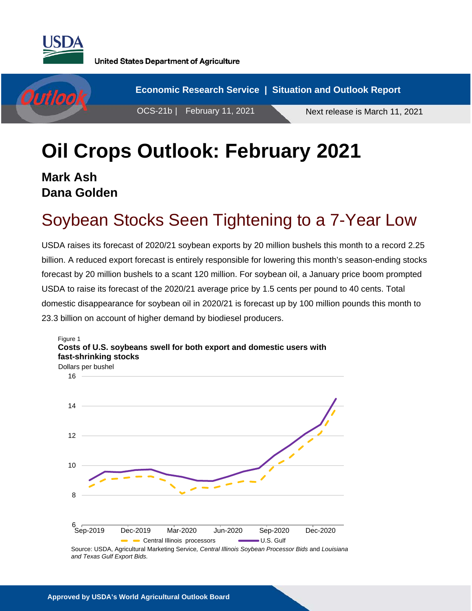

**United States Department of Agriculture** 



# **Oil Crops Outlook: February 2021**

**Mark Ash Dana Golden**

# Soybean Stocks Seen Tightening to a 7-Year Low

USDA raises its forecast of 2020/21 soybean exports by 20 million bushels this month to a record 2.25 billion. A reduced export forecast is entirely responsible for lowering this month's season-ending stocks forecast by 20 million bushels to a scant 120 million. For soybean oil, a January price boom prompted USDA to raise its forecast of the 2020/21 average price by 1.5 cents per pound to 40 cents. Total domestic disappearance for soybean oil in 2020/21 is forecast up by 100 million pounds this month to 23.3 billion on account of higher demand by biodiesel producers.



Source: USDA, Agricultural Marketing Service*, Central Illinois Soybean Processor Bids* and *Louisiana and Texas Gulf Export Bids.*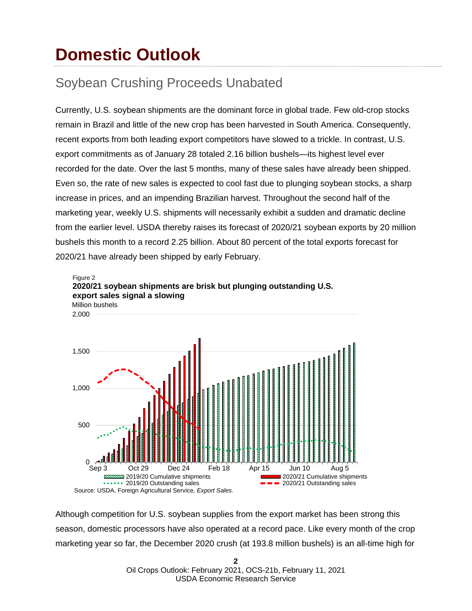# **Domestic Outlook**

### Soybean Crushing Proceeds Unabated

Currently, U.S. soybean shipments are the dominant force in global trade. Few old-crop stocks remain in Brazil and little of the new crop has been harvested in South America. Consequently, recent exports from both leading export competitors have slowed to a trickle. In contrast, U.S. export commitments as of January 28 totaled 2.16 billion bushels—its highest level ever recorded for the date. Over the last 5 months, many of these sales have already been shipped. Even so, the rate of new sales is expected to cool fast due to plunging soybean stocks, a sharp increase in prices, and an impending Brazilian harvest. Throughout the second half of the marketing year, weekly U.S. shipments will necessarily exhibit a sudden and dramatic decline from the earlier level. USDA thereby raises its forecast of 2020/21 soybean exports by 20 million bushels this month to a record 2.25 billion. About 80 percent of the total exports forecast for 2020/21 have already been shipped by early February.



Although competition for U.S. soybean supplies from the export market has been strong this season, domestic processors have also operated at a record pace. Like every month of the crop marketing year so far, the December 2020 crush (at 193.8 million bushels) is an all-time high for

> **2** Oil Crops Outlook: February 2021, OCS-21b, February 11, 2021 USDA Economic Research Service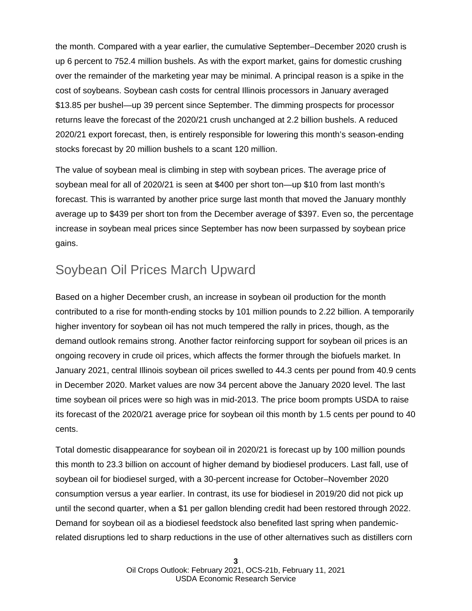the month. Compared with a year earlier, the cumulative September–December 2020 crush is up 6 percent to 752.4 million bushels. As with the export market, gains for domestic crushing over the remainder of the marketing year may be minimal. A principal reason is a spike in the cost of soybeans. Soybean cash costs for central Illinois processors in January averaged \$13.85 per bushel—up 39 percent since September. The dimming prospects for processor returns leave the forecast of the 2020/21 crush unchanged at 2.2 billion bushels. A reduced 2020/21 export forecast, then, is entirely responsible for lowering this month's season-ending stocks forecast by 20 million bushels to a scant 120 million.

The value of soybean meal is climbing in step with soybean prices. The average price of soybean meal for all of 2020/21 is seen at \$400 per short ton—up \$10 from last month's forecast. This is warranted by another price surge last month that moved the January monthly average up to \$439 per short ton from the December average of \$397. Even so, the percentage increase in soybean meal prices since September has now been surpassed by soybean price gains.

#### Soybean Oil Prices March Upward

Based on a higher December crush, an increase in soybean oil production for the month contributed to a rise for month-ending stocks by 101 million pounds to 2.22 billion. A temporarily higher inventory for soybean oil has not much tempered the rally in prices, though, as the demand outlook remains strong. Another factor reinforcing support for soybean oil prices is an ongoing recovery in crude oil prices, which affects the former through the biofuels market. In January 2021, central Illinois soybean oil prices swelled to 44.3 cents per pound from 40.9 cents in December 2020. Market values are now 34 percent above the January 2020 level. The last time soybean oil prices were so high was in mid-2013. The price boom prompts USDA to raise its forecast of the 2020/21 average price for soybean oil this month by 1.5 cents per pound to 40 cents.

Total domestic disappearance for soybean oil in 2020/21 is forecast up by 100 million pounds this month to 23.3 billion on account of higher demand by biodiesel producers. Last fall, use of soybean oil for biodiesel surged, with a 30-percent increase for October–November 2020 consumption versus a year earlier. In contrast, its use for biodiesel in 2019/20 did not pick up until the second quarter, when a \$1 per gallon blending credit had been restored through 2022. Demand for soybean oil as a biodiesel feedstock also benefited last spring when pandemicrelated disruptions led to sharp reductions in the use of other alternatives such as distillers corn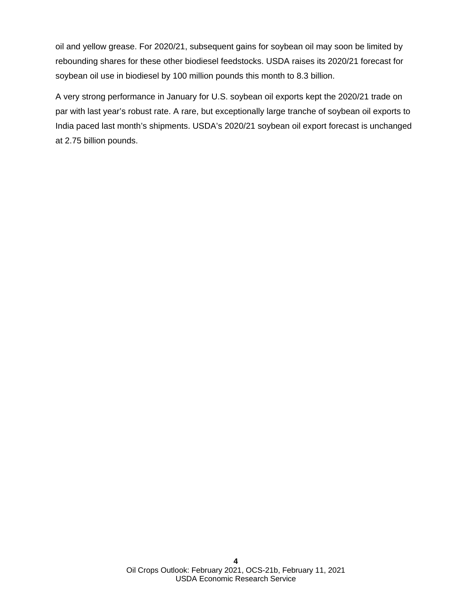oil and yellow grease. For 2020/21, subsequent gains for soybean oil may soon be limited by rebounding shares for these other biodiesel feedstocks. USDA raises its 2020/21 forecast for soybean oil use in biodiesel by 100 million pounds this month to 8.3 billion.

A very strong performance in January for U.S. soybean oil exports kept the 2020/21 trade on par with last year's robust rate. A rare, but exceptionally large tranche of soybean oil exports to India paced last month's shipments. USDA's 2020/21 soybean oil export forecast is unchanged at 2.75 billion pounds.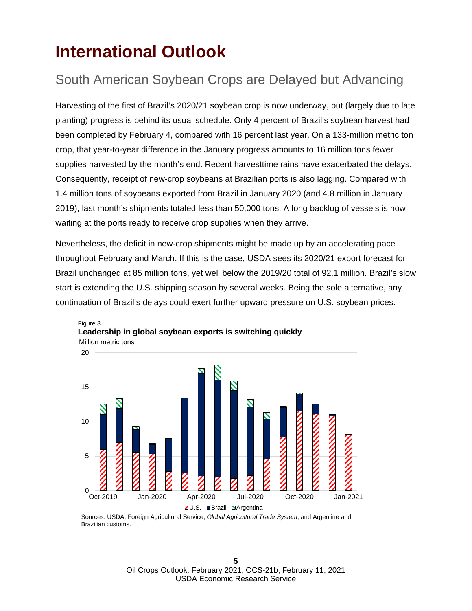### **International Outlook**

### South American Soybean Crops are Delayed but Advancing

Harvesting of the first of Brazil's 2020/21 soybean crop is now underway, but (largely due to late planting) progress is behind its usual schedule. Only 4 percent of Brazil's soybean harvest had been completed by February 4, compared with 16 percent last year. On a 133-million metric ton crop, that year-to-year difference in the January progress amounts to 16 million tons fewer supplies harvested by the month's end. Recent harvesttime rains have exacerbated the delays. Consequently, receipt of new-crop soybeans at Brazilian ports is also lagging. Compared with 1.4 million tons of soybeans exported from Brazil in January 2020 (and 4.8 million in January 2019), last month's shipments totaled less than 50,000 tons. A long backlog of vessels is now waiting at the ports ready to receive crop supplies when they arrive.

Nevertheless, the deficit in new-crop shipments might be made up by an accelerating pace throughout February and March. If this is the case, USDA sees its 2020/21 export forecast for Brazil unchanged at 85 million tons, yet well below the 2019/20 total of 92.1 million. Brazil's slow start is extending the U.S. shipping season by several weeks. Being the sole alternative, any continuation of Brazil's delays could exert further upward pressure on U.S. soybean prices.



Million metric tons Figure 3 **Leadership in global soybean exports is switching quickly** 

Sources: USDA, Foreign Agricultural Service, *Global Agricultural Trade System*, and Argentine and Brazilian customs*.*

> **5** Oil Crops Outlook: February 2021, OCS-21b, February 11, 2021 USDA Economic Research Service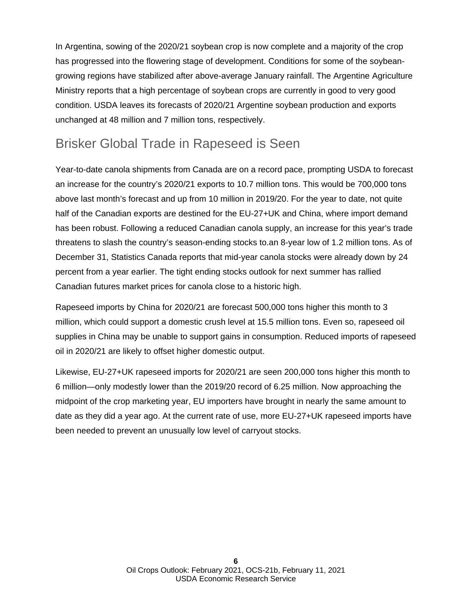In Argentina, sowing of the 2020/21 soybean crop is now complete and a majority of the crop has progressed into the flowering stage of development. Conditions for some of the soybeangrowing regions have stabilized after above-average January rainfall. The Argentine Agriculture Ministry reports that a high percentage of soybean crops are currently in good to very good condition. USDA leaves its forecasts of 2020/21 Argentine soybean production and exports unchanged at 48 million and 7 million tons, respectively.

#### Brisker Global Trade in Rapeseed is Seen

Year-to-date canola shipments from Canada are on a record pace, prompting USDA to forecast an increase for the country's 2020/21 exports to 10.7 million tons. This would be 700,000 tons above last month's forecast and up from 10 million in 2019/20. For the year to date, not quite half of the Canadian exports are destined for the EU-27+UK and China, where import demand has been robust. Following a reduced Canadian canola supply, an increase for this year's trade threatens to slash the country's season-ending stocks to.an 8-year low of 1.2 million tons. As of December 31, Statistics Canada reports that mid-year canola stocks were already down by 24 percent from a year earlier. The tight ending stocks outlook for next summer has rallied Canadian futures market prices for canola close to a historic high.

Rapeseed imports by China for 2020/21 are forecast 500,000 tons higher this month to 3 million, which could support a domestic crush level at 15.5 million tons. Even so, rapeseed oil supplies in China may be unable to support gains in consumption. Reduced imports of rapeseed oil in 2020/21 are likely to offset higher domestic output.

Likewise, EU-27+UK rapeseed imports for 2020/21 are seen 200,000 tons higher this month to 6 million—only modestly lower than the 2019/20 record of 6.25 million. Now approaching the midpoint of the crop marketing year, EU importers have brought in nearly the same amount to date as they did a year ago. At the current rate of use, more EU-27+UK rapeseed imports have been needed to prevent an unusually low level of carryout stocks.